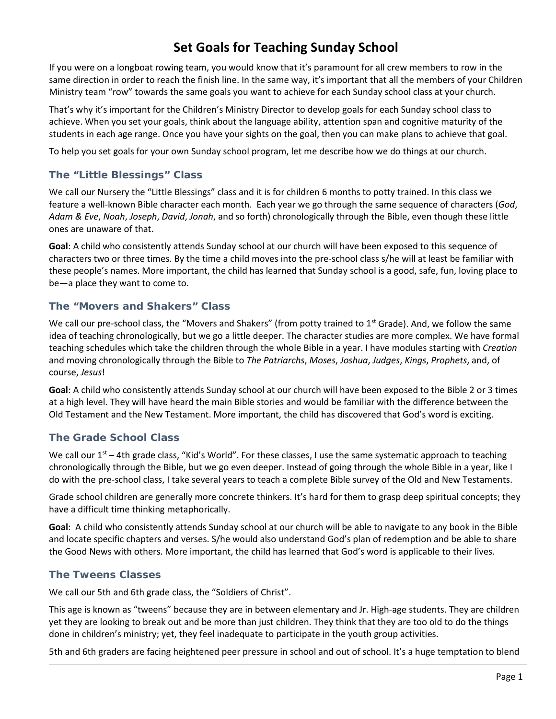# **Set Goals for Teaching Sunday School**

If you were on a longboat rowing team, you would know that it's paramount for all crew members to row in the same direction in order to reach the finish line. In the same way, it's important that all the members of your Children Ministry team "row" towards the same goals you want to achieve for each Sunday school class at your church.

That's why it's important for the Children's Ministry Director to develop goals for each Sunday school class to achieve. When you set your goals, think about the language ability, attention span and cognitive maturity of the students in each age range. Once you have your sights on the goal, then you can make plans to achieve that goal.

To help you set goals for your own Sunday school program, let me describe how we do things at our church.

## **The "Little Blessings" Class**

We call our Nursery the "Little Blessings" class and it is for children 6 months to potty trained. In this class we feature a well-known Bible character each month. Each year we go through the same sequence of characters (*God*, *Adam & Eve*, *Noah*, *Joseph*, *David*, *Jonah*, and so forth) chronologically through the Bible, even though these little ones are unaware of that.

**Goal**: A child who consistently attends Sunday school at our church will have been exposed to this sequence of characters two or three times. By the time a child moves into the pre-school class s/he will at least be familiar with these people's names. More important, the child has learned that Sunday school is a good, safe, fun, loving place to be—a place they want to come to.

#### **The "Movers and Shakers" Class**

We call our pre-school class, the "Movers and Shakers" (from potty trained to  $1<sup>st</sup>$  Grade). And, we follow the same idea of teaching chronologically, but we go a little deeper. The character studies are more complex. We have formal teaching schedules which take the children through the whole Bible in a year. I have modules starting with *Creation* and moving chronologically through the Bible to *The Patriarchs*, *Moses*, *Joshua*, *Judges*, *Kings*, *Prophets*, and, of course, *Jesus*!

**Goal**: A child who consistently attends Sunday school at our church will have been exposed to the Bible 2 or 3 times at a high level. They will have heard the main Bible stories and would be familiar with the difference between the Old Testament and the New Testament. More important, the child has discovered that God's word is exciting.

## **The Grade School Class**

We call our  $1^{st}$  – 4th grade class, "Kid's World". For these classes, I use the same systematic approach to teaching chronologically through the Bible, but we go even deeper. Instead of going through the whole Bible in a year, like I do with the pre-school class, I take several years to teach a complete Bible survey of the Old and New Testaments.

Grade school children are generally more concrete thinkers. It's hard for them to grasp deep spiritual concepts; they have a difficult time thinking metaphorically.

**Goal**: A child who consistently attends Sunday school at our church will be able to navigate to any book in the Bible and locate specific chapters and verses. S/he would also understand God's plan of redemption and be able to share the Good News with others. More important, the child has learned that God's word is applicable to their lives.

#### **The Tweens Classes**

We call our 5th and 6th grade class, the "Soldiers of Christ".

This age is known as "tweens" because they are in between elementary and Jr. High-age students. They are children yet they are looking to break out and be more than just children. They think that they are too old to do the things done in children's ministry; yet, they feel inadequate to participate in the youth group activities.

5th and 6th graders are facing heightened peer pressure in school and out of school. It's a huge temptation to blend